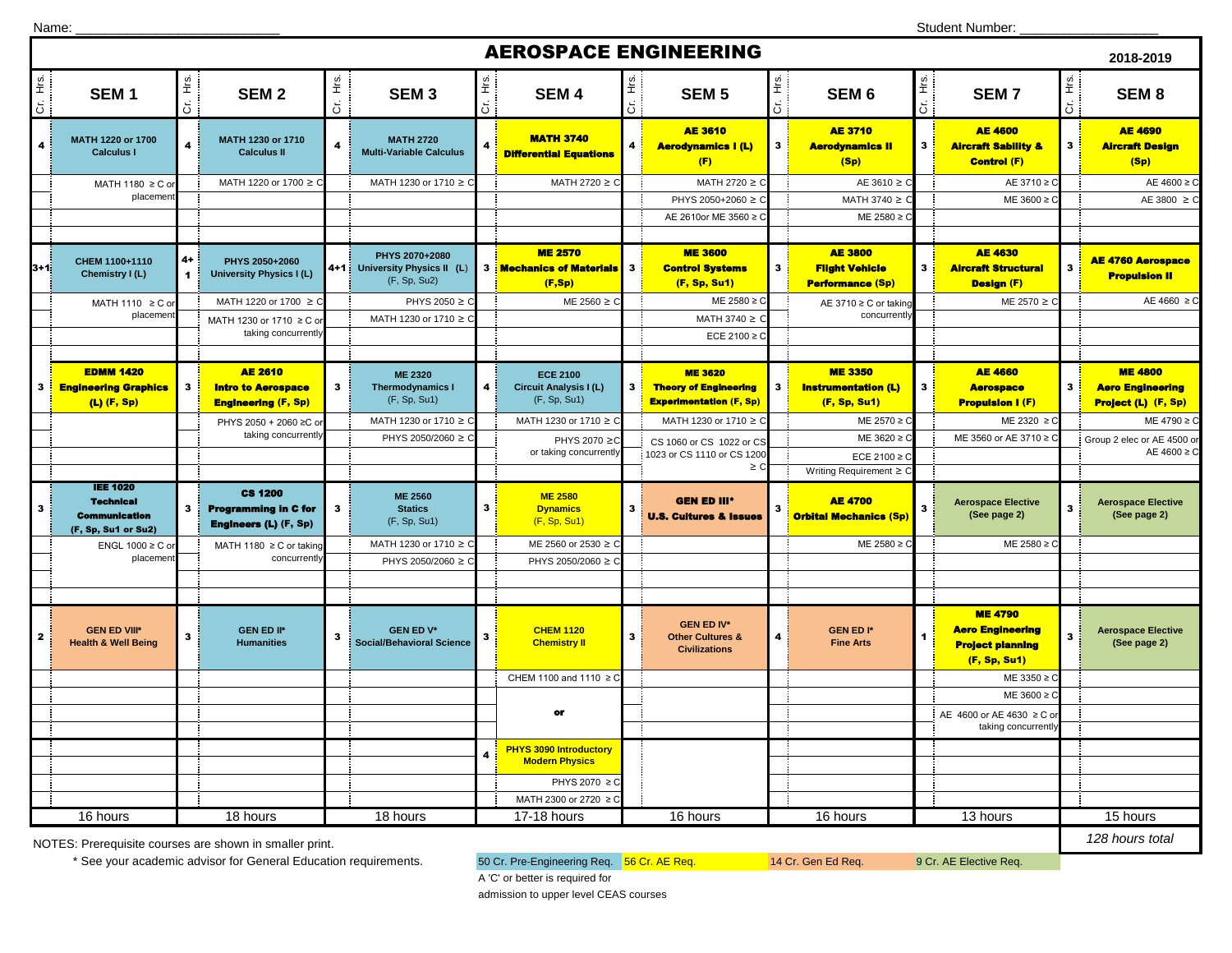| Name: |  |
|-------|--|
|       |  |

|                                  | <b>AEROSPACE ENGINEERING</b><br>2018-2019                                          |                              |                                                                               |                         |                                                             |                                |                                                                  |                |                                                                                  |                         |                                                                    |              |                                                                                      |                                  |                                                                  |
|----------------------------------|------------------------------------------------------------------------------------|------------------------------|-------------------------------------------------------------------------------|-------------------------|-------------------------------------------------------------|--------------------------------|------------------------------------------------------------------|----------------|----------------------------------------------------------------------------------|-------------------------|--------------------------------------------------------------------|--------------|--------------------------------------------------------------------------------------|----------------------------------|------------------------------------------------------------------|
| Hrs.<br>Cr.                      | SEM <sub>1</sub>                                                                   | Cr. Hrs.                     | SEM <sub>2</sub>                                                              | Ξ.<br>ä                 | SEM <sub>3</sub>                                            | $\frac{6}{2}$<br>$\frac{1}{5}$ | <b>SEM4</b>                                                      | Cr. Hrs.       | <b>SEM 5</b>                                                                     | E<br>$\overline{5}$     | SEM <sub>6</sub>                                                   | Cr. Hrs.     | <b>SEM7</b>                                                                          | $\frac{g}{\pm}$<br>$\frac{1}{6}$ | SEM <sub>8</sub>                                                 |
| 4                                | MATH 1220 or 1700<br><b>Calculus I</b>                                             | $\overline{4}$               | MATH 1230 or 1710<br><b>Calculus II</b>                                       | $\overline{\mathbf{4}}$ | <b>MATH 2720</b><br><b>Multi-Variable Calculus</b>          |                                | <b>MATH 3740</b><br><b>Differential Equations</b>                | $\overline{4}$ | <b>AE 3610</b><br><b>Aerodynamics I (L)</b><br>(F)                               | $\mathbf{3}$            | <b>AE 3710</b><br><b>Aerodynamics II</b><br>(Sp)                   | $\mathbf{3}$ | <b>AE 4600</b><br><b>Aircraft Sability &amp;</b><br>Control (F)                      | 3 <sup>1</sup>                   | <b>AE 4690</b><br><b>Aircraft Design</b><br>(Sp)                 |
|                                  | MATH 1180 ≥ C o                                                                    |                              | MATH 1220 or 1700 ≥ C                                                         |                         | MATH 1230 or 1710 ≥ C                                       |                                | MATH 2720 ≥ C                                                    |                | MATH 2720 ≥ C                                                                    |                         | AE 3610 ≥ C                                                        |              | AE 3710 ≥ C                                                                          |                                  | AE $4600 \ge C$                                                  |
|                                  | placemer                                                                           |                              |                                                                               |                         |                                                             |                                |                                                                  |                | PHYS 2050+2060 ≥                                                                 |                         | MATH 3740 ≥                                                        |              | ME 3600 ≥                                                                            |                                  | AE 3800 $\geq$ C                                                 |
|                                  |                                                                                    |                              |                                                                               |                         |                                                             |                                |                                                                  |                | AE 2610or ME 3560 ≥ 0                                                            |                         | ME 2580 ≥                                                          |              |                                                                                      |                                  |                                                                  |
|                                  |                                                                                    |                              |                                                                               |                         |                                                             |                                |                                                                  |                |                                                                                  |                         |                                                                    |              |                                                                                      |                                  |                                                                  |
| l3+1                             | CHEM 1100+1110<br>Chemistry I (L)                                                  | $4+$<br>$\blacktriangleleft$ | PHYS 2050+2060<br><b>University Physics I (L)</b>                             | $4 + 1$                 | PHYS 2070+2080<br>University Physics II (L)<br>(F, Sp, Su2) |                                | <b>ME 2570</b><br>3 : Mechanics of Materials 3<br>(F, Sp)        |                | <b>ME 3600</b><br><b>Control Systems</b><br>(F, Sp, Su1)                         | $\overline{\mathbf{3}}$ | <b>AE 3800</b><br><b>Filght Vehicle</b><br><b>Performance (Sp)</b> | $\mathbf{3}$ | <b>AE 4630</b><br><b>Aircraft Structural</b><br><b>Design (F)</b>                    | $\overline{\mathbf{3}}$          | <b>AE 4760 Aerospace</b><br><b>Propulsion II</b>                 |
|                                  | MATH 1110 ≥ C or                                                                   |                              | MATH 1220 or 1700 ≥ C                                                         |                         | PHYS 2050 ≥ C                                               |                                | ME 2560 $\geq$ C                                                 |                | ME 2580 ≥ C                                                                      |                         | AE 3710 ≥ C or taking                                              |              | ME 2570 ≥ C                                                                          |                                  | AE 4660 $\geq$ C                                                 |
|                                  | placemer                                                                           |                              | MATH 1230 or 1710 ≥ C o                                                       |                         | MATH 1230 or 1710 ≥ C                                       |                                |                                                                  |                | MATH 3740 $\geq$                                                                 |                         | concurrently                                                       |              |                                                                                      |                                  |                                                                  |
|                                  |                                                                                    |                              | taking concurrently                                                           |                         |                                                             |                                |                                                                  |                | ECE 2100 ≥ 0                                                                     |                         |                                                                    |              |                                                                                      |                                  |                                                                  |
|                                  |                                                                                    |                              |                                                                               |                         |                                                             |                                |                                                                  |                |                                                                                  |                         |                                                                    |              |                                                                                      |                                  |                                                                  |
| 3                                | <b>EDMM 1420</b><br><b>Engineering Graphics</b><br>$(L)$ (F, Sp)                   | 3                            | <b>AE 2610</b><br><b>Intro to Aerospace</b><br><b>Engineering (F, Sp)</b>     | 3                       | <b>ME 2320</b><br><b>Thermodynamics I</b><br>(F, Sp, Su1)   | $\overline{4}$                 | <b>ECE 2100</b><br><b>Circuit Analysis I (L)</b><br>(F, Sp, Su1) | $\mathbf{3}$   | <b>ME 3620</b><br><b>Theory of Engineering</b><br><b>Experimentation (F, Sp)</b> | 3                       | <b>ME 3350</b><br><b>Instrumentation (L)</b><br>(F, Sp, Su1)       | $\mathbf{3}$ | <b>AE 4660</b><br><b>Aerospace</b><br><b>Propulsion I (F)</b>                        | $\mathbf{3}$ :                   | <b>ME 4800</b><br><b>Aero Engineering</b><br>Project (L) (F, Sp) |
|                                  |                                                                                    |                              | PHYS 2050 + 2060 ≥C o                                                         |                         | MATH 1230 or 1710 ≥ C                                       |                                | MATH 1230 or 1710 ≥ C                                            |                | MATH 1230 or 1710 ≥ 0                                                            |                         | ME 2570 ≥                                                          |              | ME 2320 ≥ C                                                                          |                                  | ME 4790 ≥ C                                                      |
|                                  |                                                                                    |                              | taking concurrently                                                           |                         | PHYS 2050/2060 ≥ C                                          |                                | PHYS 2070 ≥C                                                     |                | CS 1060 or CS 1022 or CS                                                         |                         | ME 3620 ≥                                                          |              | ME 3560 or AE 3710 ≥ 0                                                               |                                  | Group 2 elec or AE 4500 or                                       |
|                                  |                                                                                    |                              |                                                                               |                         |                                                             |                                | or taking concurrently                                           |                | 1023 or CS 1110 or CS 1200                                                       |                         | ECE 2100 $\geq$ 0                                                  |              |                                                                                      |                                  | AE 4600 ≥ C                                                      |
|                                  |                                                                                    |                              |                                                                               |                         |                                                             |                                |                                                                  |                | $\geq$ C                                                                         |                         | Writing Requirement $\geq 0$                                       |              |                                                                                      |                                  |                                                                  |
| 3                                | <b>IEE 1020</b><br><b>Technical</b><br><b>Communication</b><br>(F, Sp, Su1 or Su2) | 3                            | <b>CS 1200</b><br><b>Programming in C for</b><br><b>Engineers (L) (F, Sp)</b> | $\mathbf{3}$            | <b>ME 2560</b><br><b>Statics</b><br>(F, Sp, Su1)            | 3                              | <b>ME 2580</b><br><b>Dynamics</b><br>(F, Sp, Su1)                | $\mathbf{3}$   | <b>GEN ED III*</b><br><b>U.S. Cultures &amp; Issues</b>                          |                         | <b>AE 4700</b><br><b>Orbital Mechanics (Sp)</b>                    | 3            | <b>Aerospace Elective</b><br>(See page 2)                                            | $\mathbf{3}$                     | <b>Aerospace Elective</b><br>(See page 2)                        |
|                                  | ENGL 1000 ≥ C or                                                                   |                              | MATH 1180 ≥ C or taking                                                       |                         | MATH 1230 or 1710 ≥ 0                                       |                                | ME 2560 or 2530 ≥ C                                              |                |                                                                                  |                         | ME 2580 ≥                                                          |              | ME 2580 ≥ 0                                                                          |                                  |                                                                  |
|                                  | placemer                                                                           |                              | concurrently                                                                  |                         | PHYS 2050/2060 ≥ 0                                          |                                | PHYS 2050/2060 ≥ C                                               |                |                                                                                  |                         |                                                                    |              |                                                                                      |                                  |                                                                  |
|                                  |                                                                                    |                              |                                                                               |                         |                                                             |                                |                                                                  |                |                                                                                  |                         |                                                                    |              |                                                                                      |                                  |                                                                  |
|                                  |                                                                                    |                              |                                                                               |                         |                                                             |                                |                                                                  |                |                                                                                  |                         |                                                                    |              |                                                                                      |                                  |                                                                  |
| 2                                | <b>GEN ED VIII*</b><br><b>Health &amp; Well Being</b>                              | $\mathbf{3}$                 | <b>GEN ED II*</b><br><b>Humanities</b>                                        | 3                       | <b>GEN ED V*</b><br><b>Social/Behavioral Science</b>        | 3                              | <b>CHEM 1120</b><br><b>Chemistry II</b>                          | $\mathbf{3}$   | <b>GEN ED IV*</b><br><b>Other Cultures &amp;</b><br><b>Civilizations</b>         |                         | <b>GEN ED I*</b><br><b>Fine Arts</b>                               |              | <b>ME 4790</b><br><b>Aero Engineering</b><br><b>Project planning</b><br>(F, Sp, Su1) | $\mathbf{3}$                     | <b>Aerospace Elective</b><br>(See page 2)                        |
|                                  |                                                                                    |                              |                                                                               |                         |                                                             |                                | CHEM 1100 and 1110 ≥ C                                           |                |                                                                                  |                         |                                                                    |              | ME 3350 ≥                                                                            |                                  |                                                                  |
|                                  |                                                                                    |                              |                                                                               |                         |                                                             |                                |                                                                  |                |                                                                                  |                         |                                                                    |              | ME 3600 ≥                                                                            |                                  |                                                                  |
|                                  |                                                                                    |                              |                                                                               |                         |                                                             |                                | or                                                               |                |                                                                                  |                         |                                                                    |              | AE 4600 or AE 4630 ≥ C or<br>taking concurrently                                     |                                  |                                                                  |
|                                  |                                                                                    |                              |                                                                               |                         |                                                             | $\overline{\mathbf{4}}$        | <b>PHYS 3090 Introductory</b><br><b>Modern Physics</b>           |                |                                                                                  |                         |                                                                    |              |                                                                                      |                                  |                                                                  |
|                                  |                                                                                    |                              |                                                                               |                         |                                                             |                                | PHYS 2070 ≥ C                                                    |                |                                                                                  |                         |                                                                    |              |                                                                                      |                                  |                                                                  |
|                                  |                                                                                    |                              |                                                                               |                         |                                                             |                                | MATH 2300 or 2720 ≥                                              |                |                                                                                  |                         |                                                                    |              |                                                                                      |                                  |                                                                  |
| 16 hours<br>18 hours<br>18 hours |                                                                                    |                              |                                                                               |                         | 17-18 hours                                                 |                                | 16 hours                                                         |                | 16 hours                                                                         |                         | 13 hours                                                           |              | 15 hours                                                                             |                                  |                                                                  |

NOTES: Prerequisite courses are shown in smaller print.

\* See your academic advisor for General Education requirements. 60 Cr. Pre-Engineering Req. 56 Cr. AE Req. 14 Cr. Gen Ed Req. 9 Cr. AE Elective Req.

*128 hours total*

A 'C' or better is required for

admission to upper level CEAS courses